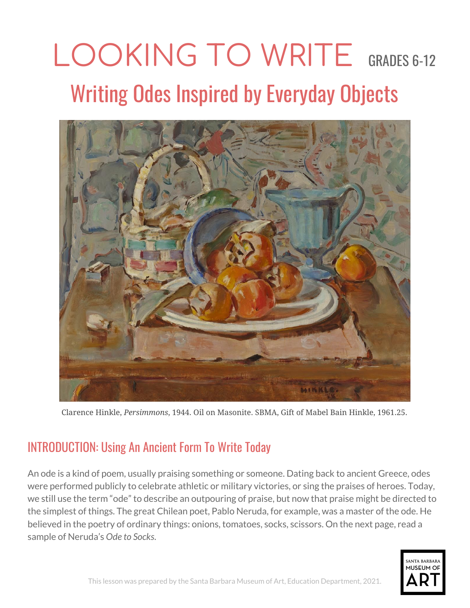# LOOKING TO WRITE GRADES 6-12 Writing Odes Inspired by Everyday Objects



Clarence Hinkle, *Persimmons*, 1944. Oil on Masonite. SBMA, Gift of Mabel Bain Hinkle, 1961.25.

## INTRODUCTION: Using An Ancient Form To Write Today

An ode is a kind of poem, usually praising something or someone. Dating back to ancient Greece, odes were performed publicly to celebrate athletic or military victories, or sing the praises of heroes. Today, we still use the term "ode" to describe an outpouring of praise, but now that praise might be directed to the simplest of things. The great Chilean poet, Pablo Neruda, for example, was a master of the ode. He believed in the poetry of ordinary things: onions, tomatoes, socks, scissors. On the next page, read a sample of Neruda's *Ode to Socks*.